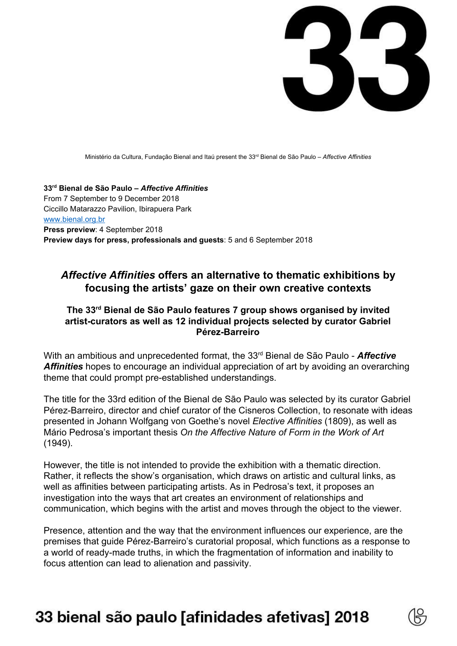

Ministério da Cultura, Fundação Bienal and Itaú present the 33 rd Bienal de São Paulo – *Affective Affinities*

**33 rd Bienal de São Paulo –** *Affective Affinities* From 7 September to 9 December 2018 Ciccillo Matarazzo Pavilion, Ibirapuera Park [www.bienal.org.br](http://www.bienal.org.br/) **Press preview**: 4 September 2018 **Preview days for press, professionals and guests**: 5 and 6 September 2018

### *Affective Affinities* **offers an alternative to thematic exhibitions by focusing the artists' gaze on their own creative contexts**

#### **The 33 rd Bienal de São Paulo features 7 group shows organised by invited artist-curators as well as 12 individual projects selected by curator Gabriel Pérez-Barreiro**

With an ambitious and unprecedented format, the 33<sup>rd</sup> Bienal de São Paulo - **Affective** *Affinities* hopes to encourage an individual appreciation of art by avoiding an overarching theme that could prompt pre-established understandings.

The title for the 33rd edition of the Bienal de São Paulo was selected by its curator Gabriel Pérez-Barreiro, director and chief curator of the Cisneros Collection, to resonate with ideas presented in Johann Wolfgang von Goethe's novel *Elective Affinities* (1809), as well as Mário Pedrosa's important thesis *On the Affective Nature of Form in the Work of Art* (1949).

However, the title is not intended to provide the exhibition with a thematic direction. Rather, it reflects the show's organisation, which draws on artistic and cultural links, as well as affinities between participating artists. As in Pedrosa's text, it proposes an investigation into the ways that art creates an environment of relationships and communication, which begins with the artist and moves through the object to the viewer.

Presence, attention and the way that the environment influences our experience, are the premises that guide Pérez-Barreiro's curatorial proposal, which functions as a response to a world of ready-made truths, in which the fragmentation of information and inability to focus attention can lead to alienation and passivity.

## 33 bienal são paulo [afinidades afetivas] 2018

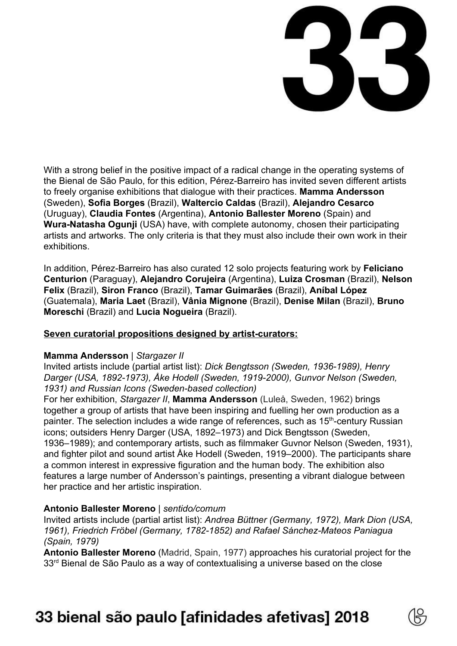

With a strong belief in the positive impact of a radical change in the operating systems of the Bienal de São Paulo, for this edition, Pérez-Barreiro has invited seven different artists to freely organise exhibitions that dialogue with their practices. **Mamma Andersson** (Sweden), **Sofia Borges** (Brazil), **Waltercio Caldas** (Brazil), **Alejandro Cesarco** (Uruguay), **Claudia Fontes** (Argentina), **Antonio Ballester Moreno** (Spain) and **Wura-Natasha Ogunji** (USA) have, with complete autonomy, chosen their participating artists and artworks. The only criteria is that they must also include their own work in their exhibitions.

In addition, Pérez-Barreiro has also curated 12 solo projects featuring work by **Feliciano Centurion** (Paraguay), **Alejandro Corujeira** (Argentina), **Luiza Crosman** (Brazil), **Nelson Felix** (Brazil), **Siron Franco** (Brazil), **Tamar Guimarães** (Brazil), **Aníbal López** (Guatemala), **Maria Laet** (Brazil), **Vânia Mignone** (Brazil), **Denise Milan** (Brazil), **Bruno Moreschi** (Brazil) and **Lucia Nogueira** (Brazil).

#### **Seven curatorial propositions designed by artist-curators:**

#### **Mamma Andersson** | *Stargazer II*

Invited artists include (partial artist list): *Dick Bengtsson (Sweden, 1936-1989), Henry Darger (USA, 1892-1973), Åke Hodell (Sweden, 1919-2000), Gunvor Nelson (Sweden, 1931) and Russian Icons (Sweden-based collection)*

For her exhibition, *Stargazer II*, **Mamma Andersson** (Luleå, Sweden, 1962) brings together a group of artists that have been inspiring and fuelling her own production as a painter. The selection includes a wide range of references, such as 15<sup>th</sup>-century Russian icons; outsiders Henry Darger (USA, 1892–1973) and Dick Bengtsson (Sweden, 1936–1989); and contemporary artists, such as filmmaker Guvnor Nelson (Sweden, 1931), and fighter pilot and sound artist Åke Hodell (Sweden, 1919–2000). The participants share a common interest in expressive figuration and the human body. The exhibition also features a large number of Andersson's paintings, presenting a vibrant dialogue between her practice and her artistic inspiration.

#### **Antonio Ballester Moreno** | *sentido/comum*

Invited artists include (partial artist list): *Andrea Büttner (Germany, 1972), Mark Dion (USA, 1961), Friedrich Fröbel (Germany, 1782-1852) and Rafael Sánchez-Mateos Paniagua (Spain, 1979)*

**Antonio Ballester Moreno** (Madrid, Spain, 1977) approaches his curatorial project for the 33<sup>rd</sup> Bienal de São Paulo as a way of contextualising a universe based on the close

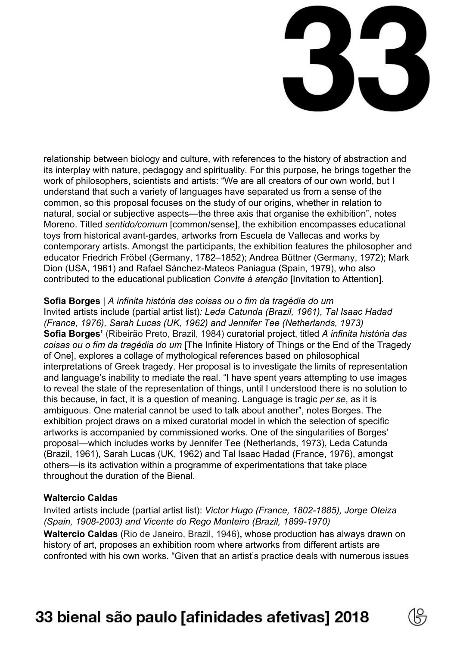

relationship between biology and culture, with references to the history of abstraction and its interplay with nature, pedagogy and spirituality. For this purpose, he brings together the work of philosophers, scientists and artists: "We are all creators of our own world, but I understand that such a variety of languages have separated us from a sense of the common, so this proposal focuses on the study of our origins, whether in relation to natural, social or subjective aspects—the three axis that organise the exhibition", notes Moreno. Titled *sentido/comum* [common/sense], the exhibition encompasses educational toys from historical avant-gardes, artworks from Escuela de Vallecas and works by contemporary artists. Amongst the participants, the exhibition features the philosopher and educator Friedrich Fröbel (Germany, 1782–1852); Andrea Büttner (Germany, 1972); Mark Dion (USA, 1961) and Rafael Sánchez-Mateos Paniagua (Spain, 1979), who also contributed to the educational publication *Convite à atenção* [Invitation to Attention]*.*

#### **Sofia Borges** | *A infinita história das coisas ou o fim da tragédia do um*

Invited artists include (partial artist list)*: Leda Catunda (Brazil, 1961), Tal Isaac Hadad (France, 1976), Sarah Lucas (UK, 1962) and Jennifer Tee (Netherlands, 1973)* **Sofia Borges'** (Ribeirão Preto, Brazil, 1984) curatorial project, titled *A infinita história das coisas ou o fim da tragédia do um* [The Infinite History of Things or the End of the Tragedy of One], explores a collage of mythological references based on philosophical interpretations of Greek tragedy. Her proposal is to investigate the limits of representation and language's inability to mediate the real. "I have spent years attempting to use images to reveal the state of the representation of things, until I understood there is no solution to this because, in fact, it is a question of meaning. Language is tragic *per se*, as it is ambiguous. One material cannot be used to talk about another", notes Borges. The exhibition project draws on a mixed curatorial model in which the selection of specific artworks is accompanied by commissioned works. One of the singularities of Borges' proposal—which includes works by Jennifer Tee (Netherlands, 1973), Leda Catunda (Brazil, 1961), Sarah Lucas (UK, 1962) and Tal Isaac Hadad (France, 1976), amongst others—is its activation within a programme of experimentations that take place throughout the duration of the Bienal.

#### **Waltercio Caldas**

Invited artists include (partial artist list): *Victor Hugo (France, 1802-1885), Jorge Oteiza (Spain, 1908-2003) and Vicente do Rego Monteiro (Brazil, 1899-1970)*

**Waltercio Caldas** (Rio de Janeiro, Brazil, 1946)**,** whose production has always drawn on history of art, proposes an exhibition room where artworks from different artists are confronted with his own works. "Given that an artist's practice deals with numerous issues

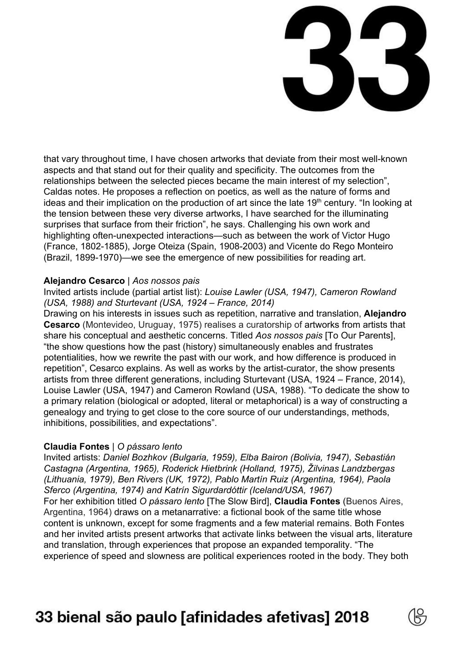

that vary throughout time, I have chosen artworks that deviate from their most well-known aspects and that stand out for their quality and specificity. The outcomes from the relationships between the selected pieces became the main interest of my selection", Caldas notes. He proposes a reflection on poetics, as well as the nature of forms and ideas and their implication on the production of art since the late 19<sup>th</sup> century. "In looking at the tension between these very diverse artworks, I have searched for the illuminating surprises that surface from their friction", he says. Challenging his own work and highlighting often-unexpected interactions—such as between the work of Victor Hugo (France, 1802-1885), Jorge Oteiza (Spain, 1908-2003) and Vicente do Rego Monteiro (Brazil, 1899-1970)—we see the emergence of new possibilities for reading art.

#### **Alejandro Cesarco** | *Aos nossos pais*

Invited artists include (partial artist list): *Louise Lawler (USA, 1947), Cameron Rowland (USA, 1988) and Sturtevant (USA, 1924 – France, 2014)*

Drawing on his interests in issues such as repetition, narrative and translation, **Alejandro Cesarco** (Montevideo, Uruguay, 1975) realises a curatorship of artworks from artists that share his conceptual and aesthetic concerns. Titled *Aos nossos pais* [To Our Parents], "the show questions how the past (history) simultaneously enables and frustrates potentialities, how we rewrite the past with our work, and how difference is produced in repetition", Cesarco explains. As well as works by the artist-curator, the show presents artists from three different generations, including Sturtevant (USA, 1924 – France, 2014), Louise Lawler (USA, 1947) and Cameron Rowland (USA, 1988). "To dedicate the show to a primary relation (biological or adopted, literal or metaphorical) is a way of constructing a genealogy and trying to get close to the core source of our understandings, methods, inhibitions, possibilities, and expectations".

#### **Claudia Fontes** | *O pássaro lento*

Invited artists: *Daniel Bozhkov (Bulgaria, 1959), Elba Bairon (Bolivia, 1947), Sebastián Castagna (Argentina, 1965), Roderick Hietbrink (Holland, 1975), Žilvinas Landzbergas (Lithuania, 1979), Ben Rivers (UK, 1972), Pablo Martín Ruiz (Argentina, 1964), Paola Sferco (Argentina, 1974) and Katrín Sigurdardóttir (Iceland/USA, 1967)* For her exhibition titled *O pássaro lento* [The Slow Bird], **Claudia Fontes** (Buenos Aires, Argentina, 1964) draws on a metanarrative: a fictional book of the same title whose content is unknown, except for some fragments and a few material remains. Both Fontes and her invited artists present artworks that activate links between the visual arts, literature and translation, through experiences that propose an expanded temporality. "The experience of speed and slowness are political experiences rooted in the body. They both

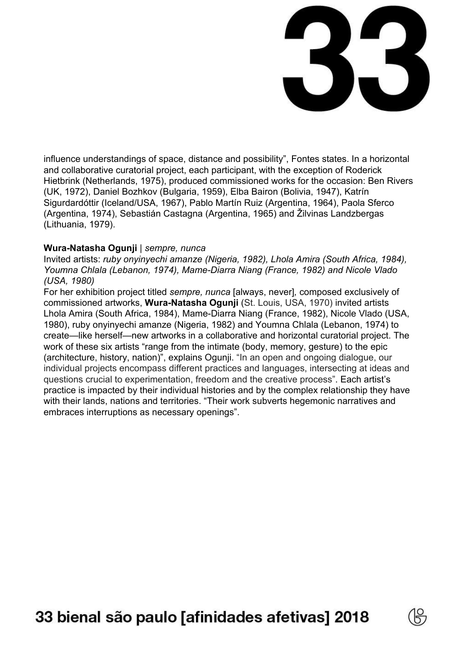

influence understandings of space, distance and possibility", Fontes states. In a horizontal and collaborative curatorial project, each participant, with the exception of Roderick Hietbrink (Netherlands, 1975), produced commissioned works for the occasion: Ben Rivers (UK, 1972), Daniel Bozhkov (Bulgaria, 1959), Elba Bairon (Bolivia, 1947), Katrín Sigurdardóttir (Iceland/USA, 1967), Pablo Martín Ruiz (Argentina, 1964), Paola Sferco (Argentina, 1974), Sebastián Castagna (Argentina, 1965) and Žilvinas Landzbergas (Lithuania, 1979).

#### **Wura-Natasha Ogunji** | *sempre, nunca*

Invited artists: *ruby onyinyechi amanze (Nigeria, 1982), Lhola Amira (South Africa, 1984), Youmna Chlala (Lebanon, 1974), Mame-Diarra Niang (France, 1982) and Nicole Vlado (USA, 1980)*

For her exhibition project titled *sempre, nunca* [always, never]*,* composed exclusively of commissioned artworks, **Wura-Natasha Ogunji** (St. Louis, USA, 1970) invited artists Lhola Amira (South Africa, 1984), Mame-Diarra Niang (France, 1982), Nicole Vlado (USA, 1980), ruby onyinyechi amanze (Nigeria, 1982) and Youmna Chlala (Lebanon, 1974) to create—like herself—new artworks in a collaborative and horizontal curatorial project. The work of these six artists "range from the intimate (body, memory, gesture) to the epic (architecture, history, nation)", explains Ogunji. "In an open and ongoing dialogue, our individual projects encompass different practices and languages, intersecting at ideas and questions crucial to experimentation, freedom and the creative process". Each artist's practice is impacted by their individual histories and by the complex relationship they have with their lands, nations and territories. "Their work subverts hegemonic narratives and embraces interruptions as necessary openings".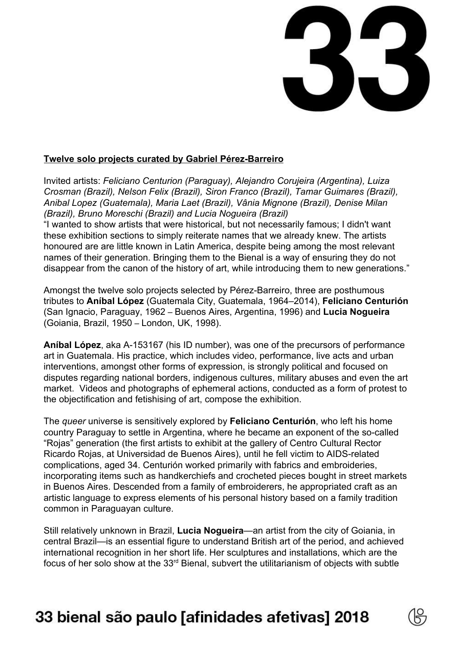

#### **Twelve solo projects curated by Gabriel Pérez-Barreiro**

Invited artists: *Feliciano Centurion (Paraguay), Alejandro Corujeira (Argentina), Luiza Crosman (Brazil), Nelson Felix (Brazil), Siron Franco (Brazil), Tamar Guimares (Brazil), Anibal Lopez (Guatemala), Maria Laet (Brazil), Vânia Mignone (Brazil), Denise Milan (Brazil), Bruno Moreschi (Brazil) and Lucia Nogueira (Brazil)*

"I wanted to show artists that were historical, but not necessarily famous; I didn't want these exhibition sections to simply reiterate names that we already knew. The artists honoured are are little known in Latin America, despite being among the most relevant names of their generation. Bringing them to the Bienal is a way of ensuring they do not disappear from the canon of the history of art, while introducing them to new generations."

Amongst the twelve solo projects selected by Pérez-Barreiro, three are posthumous tributes to **Aníbal López** (Guatemala City, Guatemala, 1964–2014), **Feliciano Centurión** (San Ignacio, Paraguay, 1962 – Buenos Aires, Argentina, 1996) and **Lucia Nogueira** (Goiania, Brazil, 1950 – London, UK, 1998).

**Aníbal López**, aka A-153167 (his ID number), was one of the precursors of performance art in Guatemala. His practice, which includes video, performance, live acts and urban interventions, amongst other forms of expression, is strongly political and focused on disputes regarding national borders, indigenous cultures, military abuses and even the art market. Videos and photographs of ephemeral actions, conducted as a form of protest to the objectification and fetishising of art, compose the exhibition.

The *queer* universe is sensitively explored by **Feliciano Centurión**, who left his home country Paraguay to settle in Argentina, where he became an exponent of the so-called "Rojas" generation (the first artists to exhibit at the gallery of Centro Cultural Rector Ricardo Rojas, at Universidad de Buenos Aires), until he fell victim to AIDS-related complications, aged 34. Centurión worked primarily with fabrics and embroideries, incorporating items such as handkerchiefs and crocheted pieces bought in street markets in Buenos Aires. Descended from a family of embroiderers, he appropriated craft as an artistic language to express elements of his personal history based on a family tradition common in Paraguayan culture.

Still relatively unknown in Brazil, **Lucia Nogueira**—an artist from the city of Goiania, in central Brazil—is an essential figure to understand British art of the period, and achieved international recognition in her short life. Her sculptures and installations, which are the focus of her solo show at the  $33<sup>rd</sup>$  Bienal, subvert the utilitarianism of objects with subtle

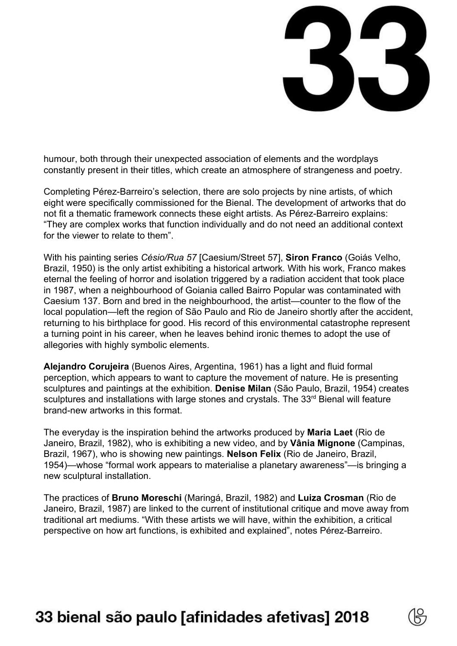

humour, both through their unexpected association of elements and the wordplays constantly present in their titles, which create an atmosphere of strangeness and poetry.

Completing Pérez-Barreiro's selection, there are solo projects by nine artists, of which eight were specifically commissioned for the Bienal. The development of artworks that do not fit a thematic framework connects these eight artists. As Pérez-Barreiro explains: "They are complex works that function individually and do not need an additional context for the viewer to relate to them".

With his painting series *Césio/Rua 57* [Caesium/Street 57], **Siron Franco** (Goiás Velho, Brazil, 1950) is the only artist exhibiting a historical artwork*.* With his work, Franco makes eternal the feeling of horror and isolation triggered by a radiation accident that took place in 1987, when a neighbourhood of Goiania called Bairro Popular was contaminated with Caesium 137. Born and bred in the neighbourhood, the artist—counter to the flow of the local population—left the region of São Paulo and Rio de Janeiro shortly after the accident, returning to his birthplace for good. His record of this environmental catastrophe represent a turning point in his career, when he leaves behind ironic themes to adopt the use of allegories with highly symbolic elements.

**Alejandro Corujeira** (Buenos Aires, Argentina, 1961) has a light and fluid formal perception, which appears to want to capture the movement of nature. He is presenting sculptures and paintings at the exhibition. **Denise Milan** (São Paulo, Brazil, 1954) creates sculptures and installations with large stones and crystals. The 33<sup>rd</sup> Bienal will feature brand-new artworks in this format.

The everyday is the inspiration behind the artworks produced by **Maria Laet** (Rio de Janeiro, Brazil, 1982), who is exhibiting a new video, and by **Vânia Mignone** (Campinas, Brazil, 1967), who is showing new paintings. **Nelson Felix** (Rio de Janeiro, Brazil, 1954)—whose "formal work appears to materialise a planetary awareness"—is bringing a new sculptural installation.

The practices of **Bruno Moreschi** (Maringá, Brazil, 1982) and **Luiza Crosman** (Rio de Janeiro, Brazil, 1987) are linked to the current of institutional critique and move away from traditional art mediums. "With these artists we will have, within the exhibition, a critical perspective on how art functions, is exhibited and explained", notes Pérez-Barreiro.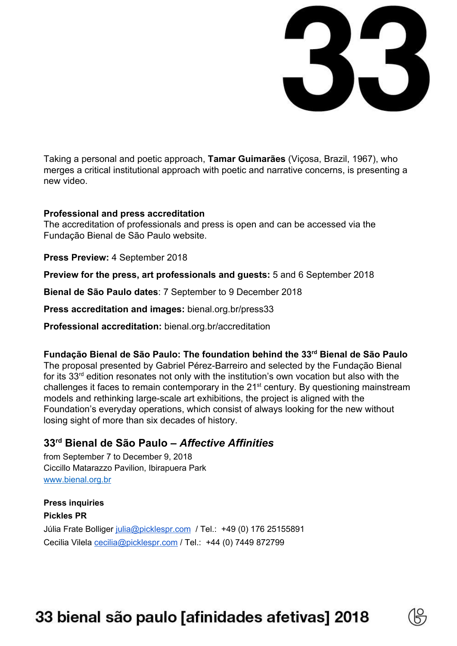

Taking a personal and poetic approach, **Tamar Guimarães** (Viçosa, Brazil, 1967), who merges a critical institutional approach with poetic and narrative concerns, is presenting a new video.

#### **Professional and press accreditation**

The accreditation of professionals and press is open and can be accessed via the Fundação Bienal de São Paulo website.

**Press Preview:** 4 September 2018

**Preview for the press, art professionals and guests:** 5 and 6 September 2018

**Bienal de São Paulo dates**: 7 September to 9 December 2018

**Press accreditation and images:** bienal.org.br/press33

**Professional accreditation:** bienal.org.br/accreditation

## **Fundação Bienal de São Paulo: The foundation behind the 33 rd Bienal de São Paulo**

The proposal presented by Gabriel Pérez-Barreiro and selected by the Fundação Bienal for its 33<sup>rd</sup> edition resonates not only with the institution's own vocation but also with the challenges it faces to remain contemporary in the 21<sup>st</sup> century. By questioning mainstream models and rethinking large-scale art exhibitions, the project is aligned with the Foundation's everyday operations, which consist of always looking for the new without losing sight of more than six decades of history.

## **33 rd Bienal de São Paulo –** *Affective Affinities*

from September 7 to December 9, 2018 Ciccillo Matarazzo Pavilion, Ibirapuera Park [www.bienal.org.br](http://www.bienal.org.br/)

**Press inquiries Pickles PR** Júlia Frate Bolliger [julia@picklespr.com](mailto:julia@picklespr.com) / Tel.: +49 (0) 176 25155891 Cecilia Vilela [cecilia@picklespr.com](mailto:cecilia@picklespr.com) / Tel.: +44 (0) 7449 872799

# 33 bienal são paulo [afinidades afetivas] 2018